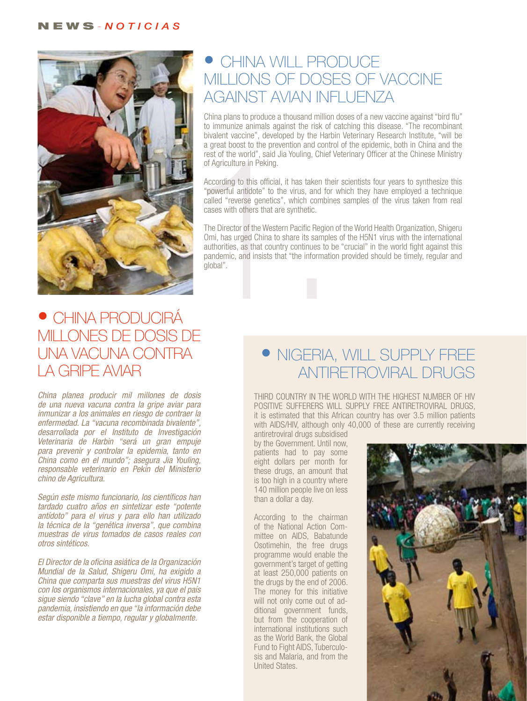

## • CHINA WILL PRODUCE MILLIONS OF DOSES OF VACCINE AGAINST AVIAN INFLUENZA

China plans to produce a thousand million doses of a new vaccine against "bird flu" to immunize animals against the risk of catching this disease. "The recombinant bivalent vaccine", developed by the Harbin Veterinary Research Institute, "will be a great boost to the prevention and control of the epidemic, both in China and the rest of the world", said Jia Youling, Chief Veterinary Officer at the Chinese Ministry of Agriculture in Peking.

According to this official, it has taken their scientists four years to synthesize this "powerful antidote" to the virus, and for which they have employed a technique called "reverse genetics", which combines samples of the virus taken from real cases with others that are synthetic.

a great boost to the prevention and control<br>rest of the world", said Jia Youling, Chief Ve<br>of Agriculture in Peking.<br>According to this official, it has taken their<br>"powerful antidote" to the virus, and for v<br>called "revers The Director of the Western Pacific Region of the World Health Organization, Shigeru Omi, has urged China to share its samples of the H5N1 virus with the international authorities, as that country continues to be "crucial" in the world fight against this pandemic, and insists that "the information provided should be timely, regular and global".

# • CHINA PRODUCIRÁ MILLONES DE DOSIS DE UNA VACUNA CONTRA LA GRIPE AVIAR

*China planea producir mil millones de dosis de una nueva vacuna contra la gripe aviar para inmunizar a los animales en riesgo de contraer la enfermedad. La "vacuna recombinada bivalente", desarrollada por el Instituto de Investigación Veterinaria de Harbin "será un gran empuje para prevenir y controlar la epidemia, tanto en China como en el mundo"; asegura Jia Youling, responsable veterinario en Pekín del Ministerio chino de Agricultura.* 

*Según este mismo funcionario, los científicos han tardado cuatro años en sintetizar este "potente antídoto" para el virus y para ello han utilizado la técnica de la "genética inversa", que combina muestras de virus tomados de casos reales con otros sintéticos.*

*El Director de la oficina asiática de la Organización Mundial de la Salud, Shigeru Omi, ha exigido a China que comparta sus muestras del virus H5N1 con los organismos internacionales, ya que el país sigue siendo "clave" en la lucha global contra esta pandemia, insistiendo en que "la información debe estar disponible a tiempo, regular y globalmente.* 

# • NIGERIA, WILL SUPPLY FREE ANTIRETROVIRAL DRUGS

THIRD COUNTRY IN THE WORLD WITH THE HIGHEST NUMBER OF HIV POSITIVE SUFFERERS WILL SUPPLY FREE ANTIRETROVIRAL DRUGS, it is estimated that this African country has over 3.5 million patients with AIDS/HIV, although only 40,000 of these are currently receiving

antiretroviral drugs subsidised by the Government. Until now, patients had to pay some eight dollars per month for these drugs, an amount that is too high in a country where 140 million people live on less than a dollar a day.

According to the chairman of the National Action Committee on AIDS, Babatunde Osotimehin, the free drugs programme would enable the government's target of getting at least 250,000 patients on the drugs by the end of 2006. The money for this initiative will not only come out of additional government funds, but from the cooperation of international institutions such as the World Bank, the Global Fund to Fight AIDS, Tuberculosis and Malaria, and from the United States.

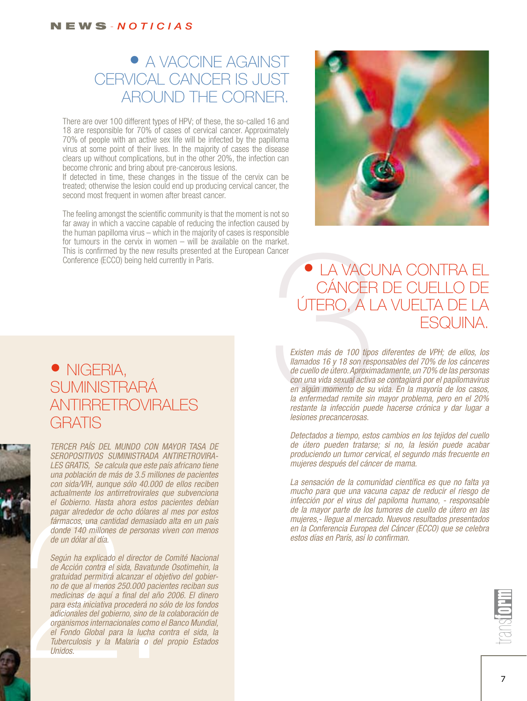# • A VACCINE AGAINST CERVICAL CANCER IS JUST AROUND THE CORNER.

There are over 100 different types of HPV; of these, the so-called 16 and 18 are responsible for 70% of cases of cervical cancer. Approximately 70% of people with an active sex life will be infected by the papilloma virus at some point of their lives. In the majority of cases the disease clears up without complications, but in the other 20%, the infection can become chronic and bring about pre-cancerous lesions.

If detected in time, these changes in the tissue of the cervix can be treated; otherwise the lesion could end up producing cervical cancer, the second most frequent in women after breast cancer.

The feeling amongst the scientific community is that the moment is not so far away in which a vaccine capable of reducing the infection caused by the human papilloma virus – which in the majority of cases is responsible for tumours in the cervix in women – will be available on the market. This is confirmed by the new results presented at the European Cancer Conference (ECCO) being held currently in Paris.



## • LA VACUNA CONTRA EL CÁNCER DE CUELLO DE ÚTERO, A LA VUELTA DE LA ESQUINA.

Sonside<br>
CAVACUNA CO<br>
CÁNCER DE CU<br>
ÚTERO, A LA VUEL<br>
Existen más de 100 tipos diferentes d<br>
llamados 16 y 18 son responsables del :<br>
de cuello de útero. Aproximadamente, un<br>
con una vida sexual activa se contagiará<br>
en al *Existen más de 100 tipos diferentes de VPH; de ellos, los llamados 16 y 18 son responsables del 70% de los cánceres de cuello de útero. Aproximadamente, un 70% de las personas con una vida sexual activa se contagiará por el papilomavirus en algún momento de su vida. En la mayoría de los casos, la enfermedad remite sin mayor problema, pero en el 20% restante la infección puede hacerse crónica y dar lugar a lesiones precancerosas.* 

*Detectados a tiempo, estos cambios en los tejidos del cuello de útero pueden tratarse; si no, la lesión puede acabar produciendo un tumor cervical, el segundo más frecuente en mujeres después del cáncer de mama.*

*La sensación de la comunidad científica es que no falta ya mucho para que una vacuna capaz de reducir el riesgo de infección por el virus del papiloma humano, - responsable de la mayor parte de los tumores de cuello de útero en las mujeres,- llegue al mercado. Nuevos resultados presentados en la Conferencia Europea del Cáncer (ECCO) que se celebra estos días en París, así lo confirman.*



#### • NIGERIA, **SUMINISTRARÁ** ANTIRRETROVIRALES GRATIS

*TERCER PAÍS DEL MUNDO CON MAYOR TASA DE SEROPOSITIVOS suministrada antiretrovirales gratis, Se calcula que este país africano tiene una población de más de 3.5 millones de pacientes con sida/VIH, aunque sólo 40.000 de ellos reciben actualmente los antirretrovirales que subvenciona el Gobierno. Hasta ahora estos pacientes debían pagar alrededor de ocho dólares al mes por estos fármacos, una cantidad demasiado alta en un país donde 140 millones de personas viven con menos de un dólar al día.*

el Gobierno. Hasta ahora estos para<br>pagar alrededor de ocho dólares al<br>fármacos, una cantidad demasiado a<br>donde 140 millones de personas vivo<br>de un dólar al día.<br>Según ha explicado el director de Co<br>de Acción contra el sid *Según ha explicado el director de Comité Nacional de Acción contra el sida, Bavatunde Osotimehin, la gratuidad permitirá alcanzar el objetivo del gobierno de que al menos 250.000 pacientes reciban sus medicinas de aquí a final del año 2006. El dinero para esta iniciativa procederá no sólo de los fondos adicionales del gobierno, sino de la colaboración de organismos internacionales como el Banco Mundial, el Fondo Global para la lucha contra el sida, la Tuberculosis y la Malaria o del propio Estados Unidos.*



7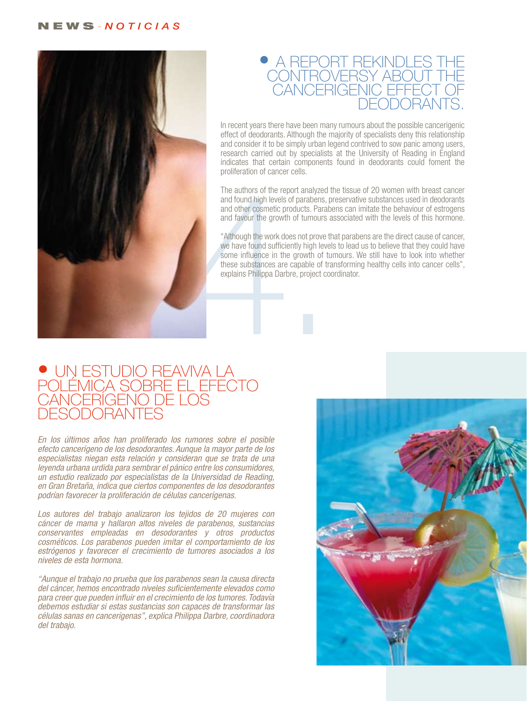#### n e w s - *n o t i c i a s*



#### • A REPORT REKINDLES T CONTROVERSY ABOUT T CANCERIGENIC EFFECT O deodorants.

In recent years there have been many rumours about the possible cancerigenic effect of deodorants. Although the majority of specialists deny this relationship and consider it to be simply urban legend contrived to sow panic among users, research carried out by specialists at the University of Reading in England indicates that certain components found in deodorants could foment the proliferation of cancer cells.

The authors of the report analyzed the tissue of 20 women with breast cancer and found high levels of parabens, preservative substances used in deodorants and other cosmetic products. Parabens can imitate the behaviour of estrogens and favour the growth of tumours associated with the levels of this hormone.

"Although the work does not prove that parabens are the direct cause of cancer, we have found sufficiently high levels to lead us to believe that they could have some influence in the growth of tumours. We still have to look into whether these substances are capable of transforming healthy cells into cancer cells", explains Philippa Darbre, project coordinator.

#### · UN ESTUDIO REAVIVA L POLÉMICA SOBRE EL E CANCERÍGENO DE L DESODORANTES

*En los últimos años han proliferado los rumores sobre el posible efecto cancerígeno de los desodorantes. Aunque la mayor parte de los especialistas niegan esta relación y consideran que se trata de una leyenda urbana urdida para sembrar el pánico entre los consumidores, un estudio realizado por especialistas de la Universidad de Reading, en Gran Bretaña, indica que ciertos componentes de los desodorantes podrían favorecer la proliferación de células cancerígenas.*

*Los autores del trabajo analizaron los tejidos de 20 mujeres con cáncer de mama y hallaron altos niveles de parabenos, sustancias conservantes empleadas en desodorantes y otros productos cosméticos. Los parabenos pueden imitar el comportamiento de los estrógenos y favorecer el crecimiento de tumores asociados a los niveles de esta hormona.*

*"Aunque el trabajo no prueba que los parabenos sean la causa directa del cáncer, hemos encontrado niveles suficientemente elevados como para creer que pueden influir en el crecimiento de los tumores. Todavía debemos estudiar si estas sustancias son capaces de transformar las células sanas en cancerígenas", explica Philippa Darbre, coordinadora del trabajo.*

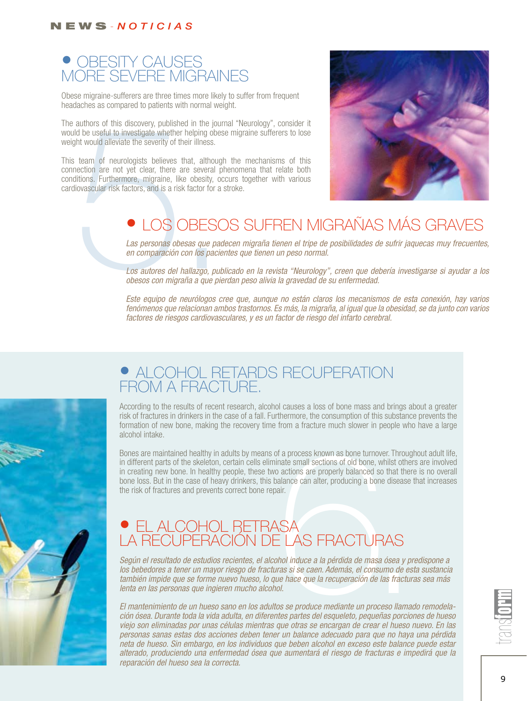#### n e w s - *n o t i c i a s*

### • OBESITY CAUSES MORE SEVERE MIGRAINES

Obese migraine-sufferers are three times more likely to suffer from frequent headaches as compared to patients with normal weight.

The authors of this discovery, published in the journal "Neurology", consider it would be useful to investigate whether helping obese migraine sufferers to lose weight would alleviate the severity of their illness.

authors of this discovery, published in the journal<br>d be useful to investigate whether helping obese<br>tht would alleviate the severity of their illness.<br>team of neurologists believes that, although<br>nection are not yet clear This team of neurologists believes that, although the mechanisms of this connection are not yet clear, there are several phenomena that relate both conditions. Furthermore, migraine, like obesity, occurs together with various cardiovascular risk factors, and is a risk factor for a stroke.



# • LOS OBESOS SUFREN MIGRAÑAS MÁS GRAVES

Las personas obesas que padecen migraña tienen el tripe de posibilidades de sufrir jaquecas muy frecuentes, *en comparación con los pacientes que tienen un peso normal.* 

*Los autores del hallazgo, publicado en la revista "Neurology", creen que debería investigarse si ayudar a los obesos con migraña a que pierdan peso alivia la gravedad de su enfermedad.*

*Este equipo de neurólogos cree que, aunque no están claros los mecanismos de esta conexión, hay varios fenómenos que relacionan ambos trastornos. Es más, la migraña, al igual que la obesidad, se da junto con varios factores de riesgos cardiovasculares, y es un factor de riesgo del infarto cerebral.*



### **• ALCOHOL RETARDS RECUPERATION** FROM A FRACTURE.

According to the results of recent research, alcohol causes a loss of bone mass and brings about a greater risk of fractures in drinkers in the case of a fall. Furthermore, the consumption of this substance prevents the formation of new bone, making the recovery time from a fracture much slower in people who have a large alcohol intake.

of a process known as bone turnover. Throughomate small sections of old bone, whilst others<br>o actions are properly balanced so that there is<br>alance can alter, producing a bone disease that<br>air.<br> $\frac{1}{\sqrt{2}}$   $\frac{1}{\sqrt{2}}$   $\$ Bones are maintained healthy in adults by means of a process known as bone turnover. Throughout adult life, in different parts of the skeleton, certain cells eliminate small sections of old bone, whilst others are involved in creating new bone. In healthy people, these two actions are properly balanced so that there is no overall bone loss. But in the case of heavy drinkers, this balance can alter, producing a bone disease that increases the risk of fractures and prevents correct bone repair.

# • EL ALCOHOL RETRASA LA RECUPERACIÓN DE LAS FRACTURAS

*Según el resultado de estudios recientes, el alcohol induce a la pérdida de masa ósea y predispone a los bebedores a tener un mayor riesgo de fracturas si se caen. Además, el consumo de esta sustancia también impide que se forme nuevo hueso, lo que hace que la recuperación de las fracturas sea más lenta en las personas que ingieren mucho alcohol.*

*El mantenimiento de un hueso sano en los adultos se produce mediante un proceso llamado remodelación ósea. Durante toda la vida adulta, en diferentes partes del esqueleto, pequeñas porciones de hueso viejo son eliminadas por unas células mientras que otras se encargan de crear el hueso nuevo. En las personas sanas estas dos acciones deben tener un balance adecuado para que no haya una pérdida neta de hueso. Sin embargo, en los individuos que beben alcohol en exceso este balance puede estar alterado, produciendo una enfermedad ósea que aumentará el riesgo de fracturas e impedirá que la reparación del hueso sea la correcta.* 

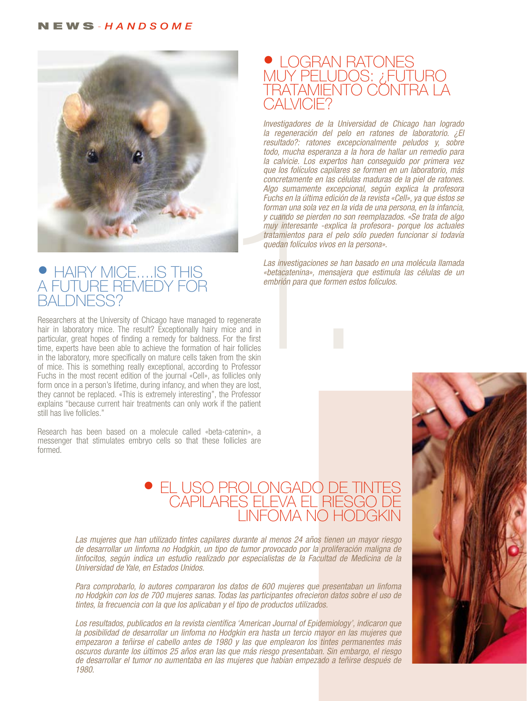

#### • HAIRY MICE....IS T A FUTURE REMEDY F baldness?

Researchers at the University of Chicago have managed to regenerate hair in laboratory mice. The result? Exceptionally hairy mice and in particular, great hopes of finding a remedy for baldness. For the first time, experts have been able to achieve the formation of hair follicles in the laboratory, more specifically on mature cells taken from the skin of mice. This is something really exceptional, according to Professor Fuchs in the most recent edition of the journal «Cell», as follicles only form once in a person's lifetime, during infancy, and when they are lost, they cannot be replaced. «This is extremely interesting", the Professor explains "because current hair treatments can only work if the patient still has live follicles."

Research has been based on a molecule called «beta-catenin», a messenger that stimulates embryo cells so that these follicles are formed.

#### $\bullet$  LOGRAN R muy peludos: ¿futuro <u>TRATAMIENTO CONTRA L</u> CAI VICIE<sup>®</sup>

Ango samamente exceptional,<br>Fuchs en la última edición de la<br>forman una sola vez en la vida y<br>y cuando se pierden no son ree<br>muy interesante -explica la p<br>tratamientos para el pelo sólo<br>quedan folículos vivos en la pel<br>Las *Investigadores de la Universidad de Chicago han logrado la regeneración del pelo en ratones de laboratorio. ¿El resultado?: ratones excepcionalmente peludos y, sobre todo, mucha esperanza a la hora de hallar un remedio para la calvicie. Los expertos han conseguido por primera vez que los folículos capilares se formen en un laboratorio, más concretamente en las células maduras de la piel de ratones. Algo sumamente excepcional, según explica la profesora Fuchs en la última edición de la revista «Cell», ya que éstos se forman una sola vez en la vida de una persona, en la infancia, y cuando se pierden no son reemplazados. «Se trata de algo muy interesante -explica la profesora- porque los actuales tratamientos para el pelo sólo pueden funcionar si todavía quedan folículos vivos en la persona».*

*Las investigaciones se han basado en una molécula llamada «betacatenina», mensajera que estimula las células de un embrión para que formen estos folículos.*

#### • EL USO PROLONGADO DE T CAPILARES ELEVA EL RIESGO D linfoma no Hodgkin

*Las mujeres que han utilizado tintes capilares durante al menos 24 años tienen un mayor riesgo de desarrollar un linfoma no Hodgkin, un tipo de tumor provocado por la proliferación maligna de linfocitos, según indica un estudio realizado por especialistas de la Facultad de Medicina de la Universidad de Yale, en Estados Unidos.* 

*Para comprobarlo, lo autores compararon los datos de 600 mujeres que presentaban un linfoma no Hodgkin con los de 700 mujeres sanas. Todas las participantes ofrecieron datos sobre el uso de tintes, la frecuencia con la que los aplicaban y el tipo de productos utilizados.*

*Los resultados, publicados en la revista científica 'American Journal of Epidemiology', indicaron que la posibilidad de desarrollar un linfoma no Hodgkin era hasta un tercio mayor en las mujeres que empezaron a teñirse el cabello antes de 1980 y las que emplearon los tintes permanentes más oscuros durante los últimos 25 años eran las que más riesgo presentaban. Sin embargo, el riesgo de desarrollar el tumor no aumentaba en las mujeres que habían empezado a teñirse después de 1980.*